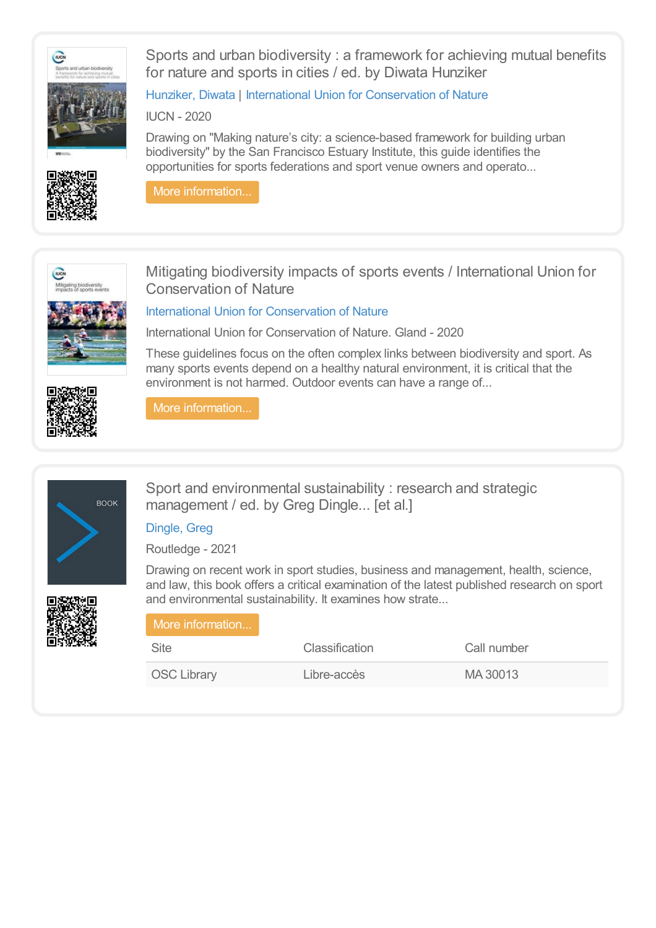



Sports and urban biodiversity : a framework for achieving mutual benefits for nature and sports in cities / ed. by Diwata Hunziker

Drawing on "Making nature's city: a science-based framework for building urban biodiversity" by the San Francisco Estuary Institute, this guide identifies the opportunities for sports federations and sport venue owners and operato...

[Hunziker,](https://library.olympics.com/Default/search.aspx?SC=DEFAULT&QUERY=Authority_id_idx%253a471465&QUERY_LABEL=Hunziker%252c+Diwata) Diwata | International Union for [Conservation](https://library.olympics.com/Default/search.aspx?SC=DEFAULT&QUERY=Authority_id_idx%253a175284&QUERY_LABEL=International+Union+for+Conservation+of+Nature) of Nature

IUCN - 2020





Mitigating biodiversity impacts of sports events / International Union for Conservation of Nature

International Union for [Conservation](https://library.olympics.com/Default/search.aspx?SC=DEFAULT&QUERY=Authority_id_idx%253a175284&QUERY_LABEL=International+Union+for+Conservation+of+Nature) of Nature

International Union for Conservation of Nature. Gland - 2020

These guidelines focus on the often complex links between biodiversity and sport. As many sports events depend on a healthy natural environment, it is critical that the environment is not harmed. Outdoor events can have a range of...



More [information...](https://library.olympics.com/Default/doc/SYRACUSE/353250/mitigating-biodiversity-impacts-of-sports-events-international-union-for-conservation-of-nature)



Sport and environmental sustainability : research and strategic management / ed. by Greg Dingle... [et al.]

[Dingle,](https://library.olympics.com/Default/search.aspx?SC=DEFAULT&QUERY=Authority_id_idx%253a848630&QUERY_LABEL=Dingle%252c+Greg) Greg

Routledge - 2021

Drawing on recent work in sport studies, business and management, health, science, and law, this book offers a critical examination of the latest published research on sport and environmental sustainability. It examines how strate...

| More information   |                       |             |
|--------------------|-----------------------|-------------|
| <b>Site</b>        | <b>Classification</b> | Call number |
| <b>OSC Library</b> | Libre-accès           | MA 30013    |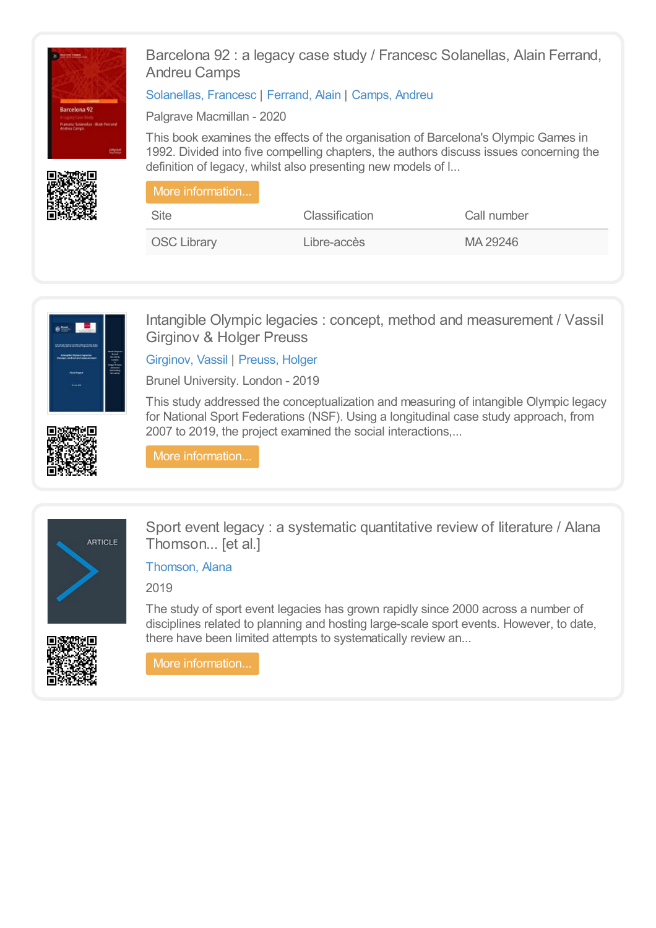

Barcelona 92 : a legacy case study / Francesc Solanellas, Alain Ferrand, Andreu Camps

[Solanellas,](https://library.olympics.com/Default/search.aspx?SC=DEFAULT&QUERY=Authority_id_idx%253a206388&QUERY_LABEL=Solanellas%252c+Francesc) Francesc | [Ferrand,](https://library.olympics.com/Default/search.aspx?SC=DEFAULT&QUERY=Authority_id_idx%253a47522&QUERY_LABEL=Ferrand%252c+Alain) Alain | [Camps,](https://library.olympics.com/Default/search.aspx?SC=DEFAULT&QUERY=Authority_id_idx%253a152309&QUERY_LABEL=Camps%252c+Andreu) Andreu

Palgrave Macmillan - 2020

This book examines the effects of the organisation of Barcelona's Olympic Games in 1992. Divided into five compelling chapters, the authors discuss issues concerning the definition of legacy, whilst also presenting new models of l...

| Ⅰ More information |                       |             |  |
|--------------------|-----------------------|-------------|--|
| <b>Site</b>        | <b>Classification</b> | Call number |  |
| <b>OSC Library</b> | Libre-accès           | MA 29246    |  |



Intangible Olympic legacies : concept, method and measurement / Vassil Girginov & Holger Preuss

[Girginov,](https://library.olympics.com/Default/search.aspx?SC=DEFAULT&QUERY=Authority_id_idx%253a44927&QUERY_LABEL=Girginov%252c+Vassil) Vassil | [Preuss,](https://library.olympics.com/Default/search.aspx?SC=DEFAULT&QUERY=Authority_id_idx%253a20465&QUERY_LABEL=Preuss%252c+Holger) Holger

Brunel University. London - 2019

This study addressed the conceptualization and measuring of intangible Olympic legacy for National Sport Federations (NSF). Using a longitudinal case study approach, from 2007 to 2019, the project examined the social interactions,...





Sport event legacy : a systematic quantitative review of literature / Alana Thomson... [et al.]

[Thomson,](https://library.olympics.com/Default/search.aspx?SC=DEFAULT&QUERY=Authority_id_idx%253a206860&QUERY_LABEL=Thomson%252c+Alana) Alana

2019

The study of sport event legacies has grown rapidly since 2000 across a number of disciplines related to planning and hosting large-scale sport events. However, to date, there have been limited attempts to systematically review an...

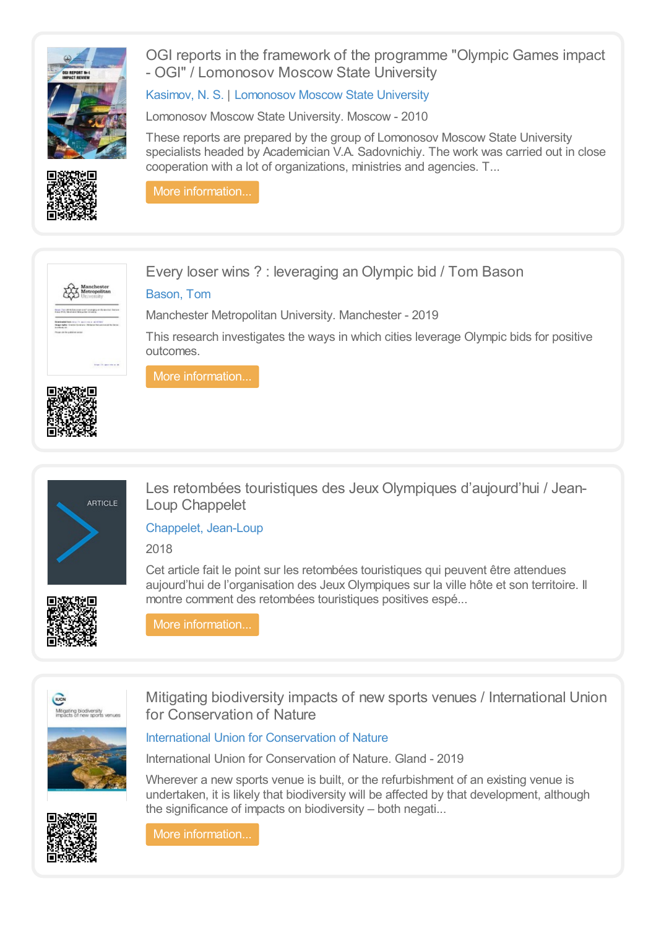

OGI reports in the framework of the programme "Olympic Games impact - OGI" / Lomonosov Moscow State University

[Kasimov,](https://library.olympics.com/Default/search.aspx?SC=DEFAULT&QUERY=Authority_id_idx%253a208821&QUERY_LABEL=Kasimov%252c+N.+S.) N. S. | [Lomonosov](https://library.olympics.com/Default/search.aspx?SC=DEFAULT&QUERY=Authority_id_idx%253a208822&QUERY_LABEL=Lomonosov+Moscow+State+University) Moscow State University

Lomonosov Moscow State University. Moscow - 2010

These reports are prepared by the group of Lomonosov Moscow State University specialists headed by Academician V.A. Sadovnichiy. The work was carried out in close cooperation with a lot of organizations, ministries and agencies. T...



More [information...](https://library.olympics.com/Default/doc/SYRACUSE/208820/ogi-reports-in-the-framework-of-the-programme-olympic-games-impact-ogi-lomonosov-moscow-state-univer)





Every loser wins ? : leveraging an Olympic bid / Tom Bason

### [Bason,](https://library.olympics.com/Default/search.aspx?SC=DEFAULT&QUERY=Authority_id_idx%253a172835&QUERY_LABEL=Bason%252c+Tom) Tom

Manchester Metropolitan University. Manchester - 2019

This research investigates the ways in which cities leverage Olympic bids for positive outcomes.





Les retombées touristiques des Jeux Olympiques d'aujourd'hui / Jean-Loup Chappelet

[Chappelet,](https://library.olympics.com/Default/search.aspx?SC=DEFAULT&QUERY=Authority_id_idx%253a48112&QUERY_LABEL=Chappelet%252c+Jean-Loup) Jean-Loup

2018

Cet article fait le point sur les retombées touristiques qui peuvent être attendues aujourd'hui de l'organisation des Jeux Olympiques sur la ville hôte et son territoire. Il montre comment des retombées touristiques positives espé...



More [information...](https://library.olympics.com/Default/doc/SYRACUSE/206496/les-retombees-touristiques-des-jeux-olympiques-d-aujourd-hui-jean-loup-chappelet)



Mitigating biodiversity impacts of new sports venues / International Union for Conservation of Nature

Wherever a new sports venue is built, or the refurbishment of an existing venue is undertaken, it is likely that biodiversity will be affected by that development, although



International Union for [Conservation](https://library.olympics.com/Default/search.aspx?SC=DEFAULT&QUERY=Authority_id_idx%253a175284&QUERY_LABEL=International+Union+for+Conservation+of+Nature) of Nature

International Union for Conservation of Nature. Gland - 2019

the significance of impacts on biodiversity – both negati...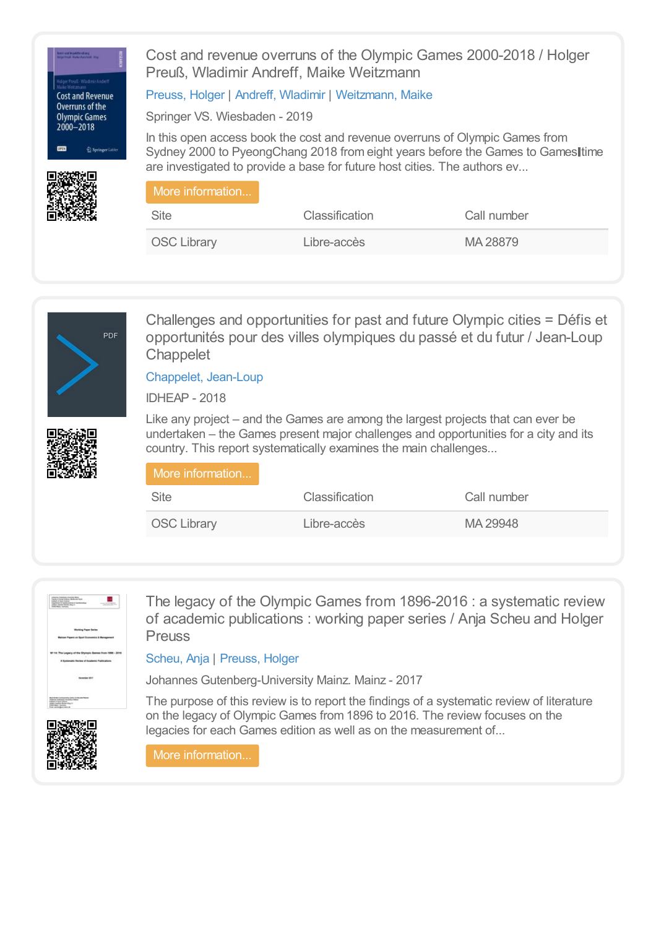

Cost and revenue overruns of the Olympic Games 2000-2018 / Holger Preuß, Wladimir Andreff, Maike Weitzmann

[Preuss,](https://library.olympics.com/Default/search.aspx?SC=DEFAULT&QUERY=Authority_id_idx%253a20465&QUERY_LABEL=Preuss%252c+Holger) Holger | Andreff, [Wladimir](https://library.olympics.com/Default/search.aspx?SC=DEFAULT&QUERY=Authority_id_idx%253a21744&QUERY_LABEL=Andreff%252c+Wladimir) | [Weitzmann,](https://library.olympics.com/Default/search.aspx?SC=DEFAULT&QUERY=Authority_id_idx%253a177092&QUERY_LABEL=Weitzmann%252c+Maike) Maike

Springer VS. Wiesbaden - 2019

In this open access book the cost and revenue overruns of Olympic Games from Sydney 2000 to PyeongChang 2018 from eight years before the Games to Gameslitime are investigated to provide a base for future host cities. The authors ev...

| More information   |                       |             |
|--------------------|-----------------------|-------------|
| Site               | <b>Classification</b> | Call number |
| <b>OSC Library</b> | Libre-accès           | MA 28879    |



Challenges and opportunities for past and future Olympic cities = Défis et opportunités pour des villes olympiques du passé et du futur / Jean-Loup **Chappelet** 

[Chappelet,](https://library.olympics.com/Default/search.aspx?SC=DEFAULT&QUERY=Authority_id_idx%253a48112&QUERY_LABEL=Chappelet%252c+Jean-Loup) Jean-Loup

IDHEAP - 2018

Like any project – and the Games are among the largest projects that can ever be undertaken – the Games present major challenges and opportunities for a city and its country. This report systematically examines the main challenges...

| More information   |                |             |
|--------------------|----------------|-------------|
| <b>Site</b>        | Classification | Call number |
| <b>OSC Library</b> | Libre-accès    | MA 29948    |



The legacy of the Olympic Games from 1896-2016 : a systematic review of academic publications : working paper series / Anja Scheu and Holger Preuss

#### [Scheu,](https://library.olympics.com/Default/search.aspx?SC=DEFAULT&QUERY=Authority_id_idx%253a173341&QUERY_LABEL=Scheu%252c+Anja) Anja | [Preuss,](https://library.olympics.com/Default/search.aspx?SC=DEFAULT&QUERY=Authority_id_idx%253a20465&QUERY_LABEL=Preuss%252c+Holger) Holger

Johannes Gutenberg-University Mainz. Mainz - 2017

The purpose of this review is to report the findings of a systematic review of literature on the legacy of Olympic Games from 1896 to 2016. The review focuses on the legacies for each Games edition as well as on the measurement of...

More [information...](https://library.olympics.com/Default/doc/SYRACUSE/173342/the-legacy-of-the-olympic-games-from-1896-2016-a-systematic-review-of-academic-publications-working-)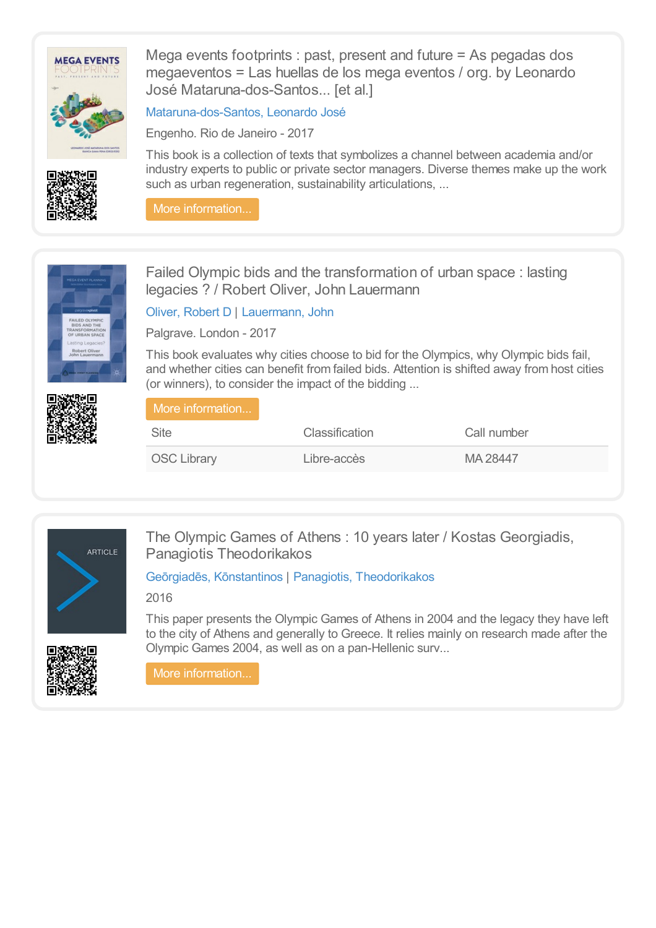

Mega events footprints : past, present and future = As pegadas dos megaeventos = Las huellas de los mega eventos / org. by Leonardo José Mataruna-dos-Santos... [et al.]

[Mataruna-dos-Santos,](https://library.olympics.com/Default/search.aspx?SC=DEFAULT&QUERY=Authority_id_idx:170863&QUERY_LABEL=Mataruna-dos-Santos%252c+Leonardo+Jos%25C3%25A9) Leonardo José

Engenho. Rio de Janeiro - 2017

This book is a collection of texts that symbolizes a channel between academia and/or industry experts to public or private sector managers. Diverse themes make up the work such as urban regeneration, sustainability articulations, ...

More [information...](https://library.olympics.com/Default/doc/SYRACUSE/170862/mega-events-footprints-past-present-and-future-as-pegadas-dos-megaeventos-las-huellas-de-los-mega-ev)



Failed Olympic bids and the transformation of urban space : lasting legacies ? / Robert Oliver, John Lauermann

Oliver, [Robert](https://library.olympics.com/Default/search.aspx?SC=DEFAULT&QUERY=Authority_id_idx%253a55394&QUERY_LABEL=Oliver%252c+Robert+D) D | [Lauermann,](https://library.olympics.com/Default/search.aspx?SC=DEFAULT&QUERY=Authority_id_idx%253a32533&QUERY_LABEL=Lauermann%252c+John) John

Palgrave. London - 2017

This book evaluates why cities choose to bid for the Olympics, why Olympic bids fail, and whether cities can benefit from failed bids. Attention is shifted away from host cities (or winners), to consider the impact of the bidding ...

| More information   |                |             |
|--------------------|----------------|-------------|
| Site               | Classification | Call number |
| <b>OSC Library</b> | Libre-accès    | MA 28447    |



The Olympic Games of Athens : 10 years later / Kostas Georgiadis, Panagiotis Theodorikakos

# Geōrgiadēs, [Kōnstantinos](https://library.olympics.com/Default/search.aspx?SC=DEFAULT&QUERY=Authority_id_idx:2443&QUERY_LABEL=Ge%25C5%258Drgiad%25C4%2593s%252c+K%25C5%258Dnstantinos) | Panagiotis, [Theodorikakos](https://library.olympics.com/Default/search.aspx?SC=DEFAULT&QUERY=Authority_id_idx%253a176413&QUERY_LABEL=Panagiotis%252c+Theodorikakos)

2016



This paper presents the Olympic Games of Athens in 2004 and the legacy they have left to the city of Athens and generally to Greece. It relies mainly on research made after the Olympic Games 2004, as well as on a pan-Hellenic surv...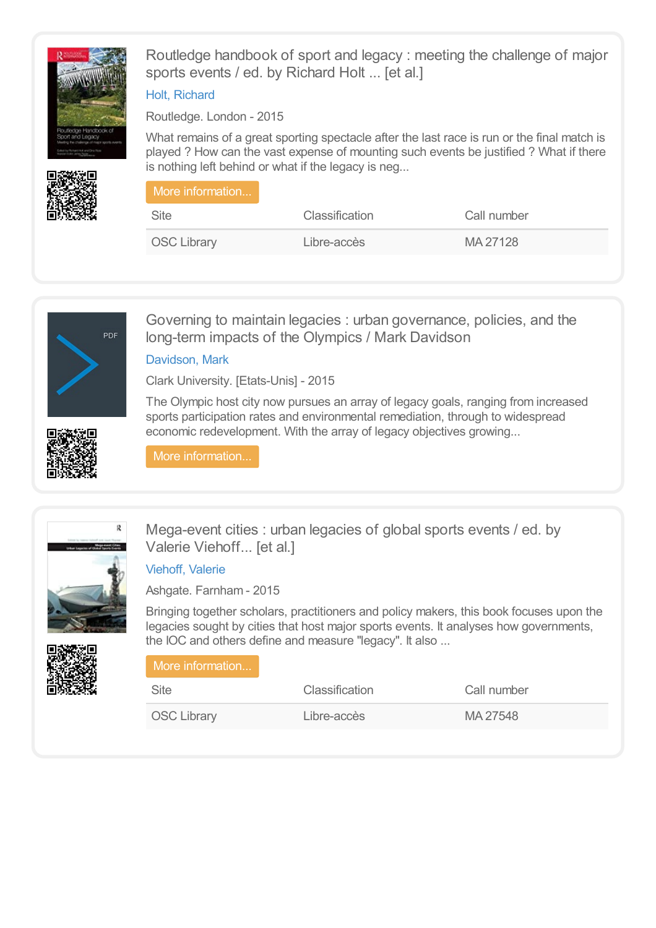

Routledge handbook of sport and legacy : meeting the challenge of major sports events / ed. by Richard Holt ... [et al.]

# Holt, [Richard](https://library.olympics.com/Default/search.aspx?SC=DEFAULT&QUERY=Authority_id_idx%253a22095&QUERY_LABEL=Holt%252c+Richard)

Routledge. London - 2015

What remains of a great sporting spectacle after the last race is run or the final match is played ? How can the vast expense of mounting such events be justified ? What if there is nothing left behind or what if the legacy is neg...

| l More information |                       |             |  |
|--------------------|-----------------------|-------------|--|
| <b>Site</b>        | <b>Classification</b> | Call number |  |
| <b>OSC Library</b> | Libre-accès           | MA 27128    |  |



Governing to maintain legacies : urban governance, policies, and the long-term impacts of the Olympics / Mark Davidson

[Davidson,](https://library.olympics.com/Default/search.aspx?SC=DEFAULT&QUERY=Authority_id_idx%253a72601&QUERY_LABEL=Davidson%252c+Mark) Mark

Clark University. [Etats-Unis] - 2015

The Olympic host city now pursues an array of legacy goals, ranging from increased sports participation rates and environmental remediation, through to widespread economic redevelopment. With the array of legacy objectives growing...



More [information...](https://library.olympics.com/Default/doc/SYRACUSE/72600/governing-to-maintain-legacies-urban-governance-policies-and-the-long-term-impacts-of-the-olympics-m)



Mega-event cities : urban legacies of global sports events / ed. by Valerie Viehoff... [et al.]

# [Viehoff,](https://library.olympics.com/Default/search.aspx?SC=DEFAULT&QUERY=Authority_id_idx%253a43798&QUERY_LABEL=Viehoff%252c+Valerie) Valerie

Ashgate. Farnham - 2015

Bringing together scholars, practitioners and policy makers, this book focuses upon the legacies sought by cities that host major sports events. It analyses how governments, the IOC and others define and measure "legacy". It also ... More information..

| <b>Site</b>        | <b>Classification</b> | Call number |  |
|--------------------|-----------------------|-------------|--|
| <b>OSC Library</b> | Libre-accès           | MA 27548    |  |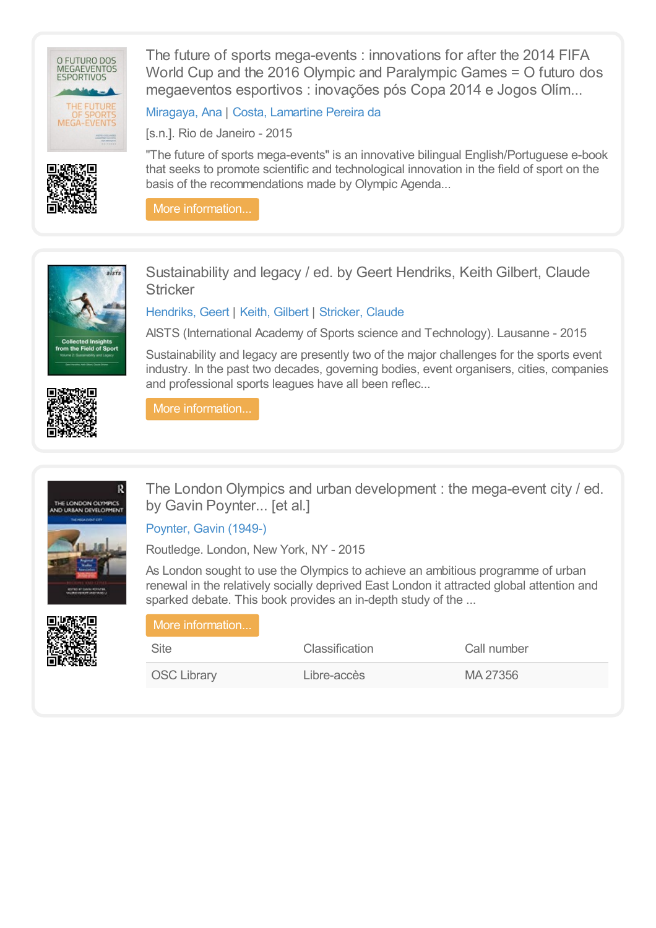

The future of sports mega-events : innovations for after the 2014 FIFA World Cup and the 2016 Olympic and Paralympic Games = O futuro dos megaeventos esportivos : inovações pós Copa 2014 e Jogos Olím...

[Miragaya,](https://library.olympics.com/Default/search.aspx?SC=DEFAULT&QUERY=Authority_id_idx%253a153499&QUERY_LABEL=Miragaya%252c+Ana) Ana | Costa, [Lamartine](https://library.olympics.com/Default/search.aspx?SC=DEFAULT&QUERY=Authority_id_idx%253a1674&QUERY_LABEL=Costa%252c+Lamartine+Pereira+da) Pereira da

[s.n.]. Rio de Janeiro - 2015

"The future of sports mega-events" is an innovative bilingual English/Portuguese e-book that seeks to promote scientific and technological innovation in the field of sport on the basis of the recommendations made by Olympic Agenda...

More [information...](https://library.olympics.com/Default/doc/SYRACUSE/48941/the-future-of-sports-mega-events-innovations-for-after-the-2014-fifa-world-cup-and-the-2016-olympic-)



Sustainability and legacy / ed. by Geert Hendriks, Keith Gilbert, Claude **Stricker** 

[Hendriks,](https://library.olympics.com/Default/search.aspx?SC=DEFAULT&QUERY=Authority_id_idx%253a36235&QUERY_LABEL=Hendriks%252c+Geert) Geert | Keith, [Gilbert](https://library.olympics.com/Default/search.aspx?SC=DEFAULT&QUERY=Authority_id_idx%253a152735&QUERY_LABEL=Keith%252c+Gilbert) | [Stricker,](https://library.olympics.com/Default/search.aspx?SC=DEFAULT&QUERY=Authority_id_idx%253a153018&QUERY_LABEL=Stricker%252c+Claude) Claude

AISTS (International Academy of Sports science and Technology). Lausanne - 2015

Sustainability and legacy are presently two of the major challenges for the sports event industry. In the past two decades, governing bodies, event organisers, cities, companies and professional sports leagues have all been reflec...

More [information...](https://library.olympics.com/Default/doc/SYRACUSE/167770/sustainability-and-legacy-ed-by-geert-hendriks-keith-gilbert-claude-stricker)



R THE LONDON OLYMPICS<br>ND URBAN DEVELOPMER



The London Olympics and urban development : the mega-event city / ed. by Gavin Poynter... [et al.]

[Poynter,](https://library.olympics.com/Default/search.aspx?SC=DEFAULT&QUERY=Authority_id_idx%253a150741&QUERY_LABEL=Poynter%252c+Gavin+(1949-)) Gavin (1949-)

Routledge. London, New York, NY - 2015

As London sought to use the Olympics to achieve an ambitious programme of urban renewal in the relatively socially deprived East London it attracted global attention and sparked debate. This book provides an in-depth study of the ...

| More information   |                |             |  |
|--------------------|----------------|-------------|--|
| Site               | Classification | Call number |  |
| <b>OSC Library</b> | Libre-accès    | MA 27356    |  |